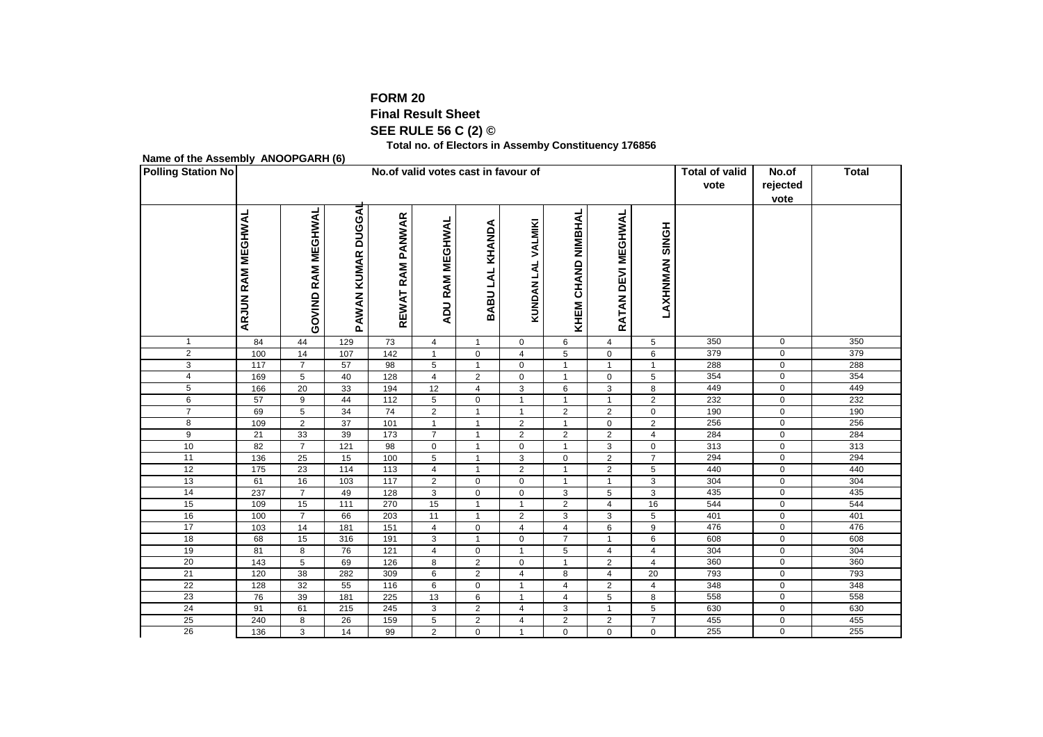## **FORM 20**

## **Final Result Sheet**

**SEE RULE 56 C (2) ©**

**Total no. of Electors in Assemby Constituency 176856**

## **Name of the Assembly ANOOPGARH (6)**

| <b>Polling Station No</b> |                          |                       |                              | No. of valid votes cast in favour of | <b>Total of valid</b><br>vote | No.of<br>rejected<br>vote          | <b>Total</b>           |                       |                    |                       |     |                |     |
|---------------------------|--------------------------|-----------------------|------------------------------|--------------------------------------|-------------------------------|------------------------------------|------------------------|-----------------------|--------------------|-----------------------|-----|----------------|-----|
|                           | <b>ARJUN RAM MEGHWAL</b> | RAM MEGHWAL<br>GOVIND | <b>DUGGAI</b><br>PAWAN KUMAR | REWAT RAM PANWAR                     | ADU RAM MEGHWAL               | KHANDA<br><b>TV</b><br><b>BABU</b> | VALMIKI<br>4<br>KUNDAN | CHAND NIMBHAL<br>KHEM | RATAN DEVI MEGHWAL | <b>LAXHNMAN SINGH</b> |     |                |     |
| $\mathbf{1}$              | 84                       | 44                    | 129                          | 73                                   | 4                             | $\mathbf{1}$                       | $\mathbf 0$            | 6                     | $\overline{4}$     | 5                     | 350 | $\mathbf 0$    | 350 |
| $\overline{2}$            | 100                      | 14                    | 107                          | $\frac{142}{2}$                      | $\mathbf{1}$                  | $\mathbf 0$                        | $\overline{4}$         | 5                     | 0                  | 6                     | 379 | 0              | 379 |
| 3                         | 117                      | $\overline{7}$        | 57                           | 98                                   | $\overline{5}$                | $\mathbf{1}$                       | $\mathbf 0$            | $\mathbf{1}$          | $\mathbf{1}$       | $\mathbf{1}$          | 288 | $\overline{0}$ | 288 |
| $\overline{4}$            | 169                      | $\overline{5}$        | 40                           | 128                                  | $\overline{4}$                | 2                                  | $\mathbf 0$            | $\mathbf{1}$          | $\mathsf{O}$       | 5                     | 354 | $\overline{0}$ | 354 |
| 5                         | 166                      | 20                    | 33                           | 194                                  | 12                            | $\overline{4}$                     | 3                      | 6                     | 3                  | 8                     | 449 | 0              | 449 |
| 6                         | 57                       | 9                     | 44                           | 112                                  | 5                             | $\mathbf 0$                        | $\mathbf{1}$           | $\mathbf{1}$          | $\mathbf{1}$       | $\overline{2}$        | 232 | 0              | 232 |
| $\overline{7}$            | 69                       | 5                     | 34                           | 74                                   | 2                             | $\mathbf{1}$                       | $\mathbf{1}$           | $\overline{2}$        | $\overline{2}$     | $\mathbf 0$           | 190 | $\mathbf 0$    | 190 |
| $\overline{8}$            | 109                      | $\overline{2}$        | 37                           | 101                                  | $\mathbf{1}$                  | $\overline{1}$                     | $\overline{2}$         | $\overline{1}$        | $\overline{0}$     | $\overline{2}$        | 256 | $\overline{0}$ | 256 |
| $\overline{9}$            | 21                       | 33                    | 39                           | 173                                  | $\overline{7}$                | $\overline{1}$                     | $\overline{2}$         | $\overline{2}$        | $\overline{2}$     | $\overline{4}$        | 284 | 0              | 284 |
| 10                        | 82                       | $\overline{7}$        | 121                          | 98                                   | $\mathbf 0$                   | $\mathbf{1}$                       | 0                      | 1                     | 3                  | $\mathsf 0$           | 313 | 0              | 313 |
| 11                        | 136                      | 25                    | 15                           | 100                                  | 5                             | $\mathbf{1}$                       | 3                      | $\mathbf 0$           | $\overline{2}$     | $\overline{7}$        | 294 | $\mathbf 0$    | 294 |
| 12                        | 175                      | 23                    | 114                          | 113                                  | $\overline{4}$                | $\overline{1}$                     | $\overline{2}$         | $\mathbf{1}$          | $\overline{2}$     | 5                     | 440 | $\mathbf 0$    | 440 |
| 13                        | 61                       | 16                    | 103                          | 117                                  | $\overline{2}$                | $\mathbf 0$                        | $\mathbf 0$            | 1                     | $\mathbf{1}$       | 3                     | 304 | $\mathbf 0$    | 304 |
| 14                        | 237                      | $\overline{7}$        | 49                           | 128                                  | 3                             | $\mathbf 0$                        | $\Omega$               | 3                     | $\overline{5}$     | 3                     | 435 | 0              | 435 |
| 15                        | 109                      | 15                    | 111                          | 270                                  | 15                            | $\mathbf{1}$                       | $\mathbf{1}$           | $\overline{2}$        | $\overline{4}$     | 16                    | 544 | $\mathbf 0$    | 544 |
| 16                        | 100                      | $\overline{7}$        | 66                           | 203                                  | 11                            | $\overline{1}$                     | $\overline{2}$         | 3                     | 3                  | 5                     | 401 | 0              | 401 |
| 17                        | 103                      | 14                    | 181                          | 151                                  | $\overline{4}$                | $\mathbf 0$                        | 4                      | 4                     | 6                  | 9                     | 476 | 0              | 476 |
| 18                        | 68                       | 15                    | 316                          | 191                                  | 3                             | $\mathbf{1}$                       | $\mathbf 0$            | $\overline{7}$        | $\mathbf{1}$       | 6                     | 608 | $\mathbf 0$    | 608 |
| 19                        | 81                       | 8                     | 76                           | 121                                  | $\overline{4}$                | $\mathbf 0$                        | $\mathbf{1}$           | 5                     | $\overline{4}$     | $\overline{4}$        | 304 | $\mathbf 0$    | 304 |
| $\overline{20}$           | 143                      | $\overline{5}$        | 69                           | 126                                  | 8                             | $\overline{2}$                     | $\mathbf 0$            | $\overline{1}$        | $\overline{2}$     | $\overline{4}$        | 360 | 0              | 360 |
| 21                        | 120                      | 38                    | 282                          | 309                                  | 6                             | $\overline{2}$                     | $\overline{4}$         | 8                     | $\overline{4}$     | 20                    | 793 | $\mathbf 0$    | 793 |
| $\overline{22}$           | 128                      | 32                    | 55                           | 116                                  | 6                             | 0                                  | $\mathbf{1}$           | $\overline{4}$        | $\overline{2}$     | $\overline{4}$        | 348 | $\mathbf 0$    | 348 |
| $\overline{23}$           | 76                       | 39                    | 181                          | 225                                  | 13                            | 6                                  | $\mathbf{1}$           | 4                     | $\overline{5}$     | 8                     | 558 | 0              | 558 |
| $\overline{24}$           | 91                       | 61                    | 215                          | 245                                  | 3                             | $\overline{2}$                     | 4                      | 3                     | $\mathbf{1}$       | 5                     | 630 | $\mathbf 0$    | 630 |
| 25                        | 240                      | $\overline{8}$        | 26                           | 159                                  | $\overline{5}$                | $\overline{2}$                     | $\overline{4}$         | $\overline{2}$        | $\overline{2}$     | $\overline{7}$        | 455 | $\overline{0}$ | 455 |
| 26                        | 136                      | 3                     | 14                           | 99                                   | $\overline{2}$                | $\mathbf 0$                        | $\mathbf{1}$           | $\mathbf 0$           | $\mathbf 0$        | $\mathbf 0$           | 255 | 0              | 255 |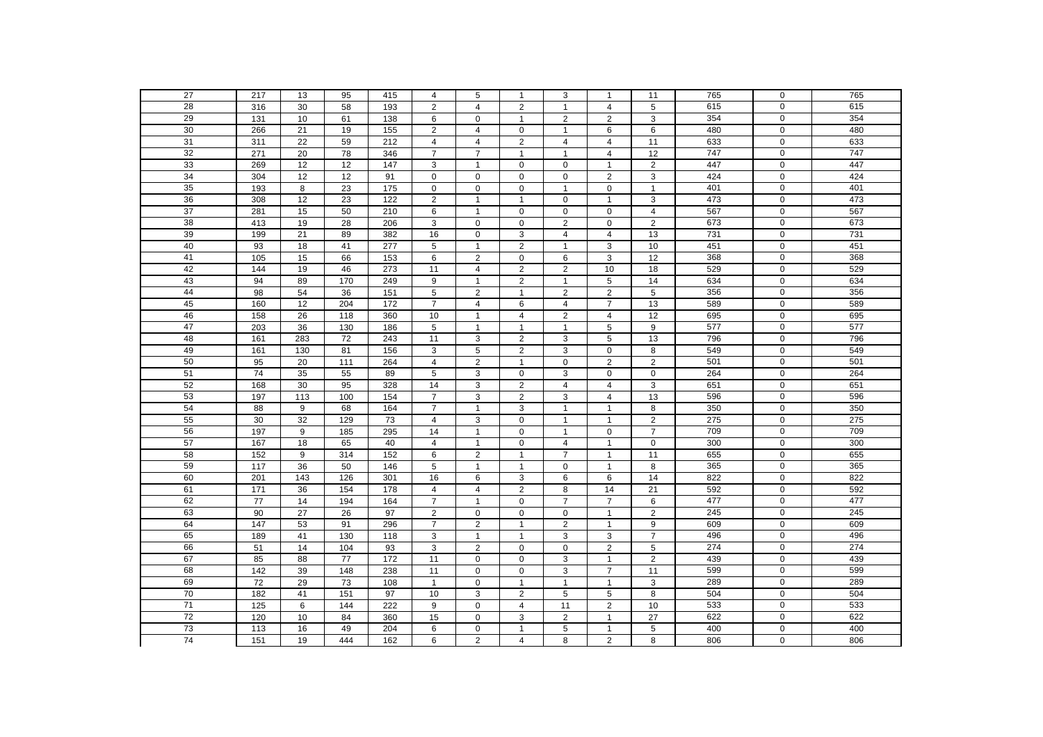| 27              | 217              | 13              | 95                | 415 | 4              | 5              | $\mathbf{1}$   | 3              | $\mathbf{1}$            | 11                      | 765 | 0                | 765 |
|-----------------|------------------|-----------------|-------------------|-----|----------------|----------------|----------------|----------------|-------------------------|-------------------------|-----|------------------|-----|
| 28              | 316              | 30              | 58                | 193 | 2              | $\overline{4}$ | 2              | $\mathbf{1}$   | $\overline{4}$          | 5                       | 615 | $\mathbf 0$      | 615 |
| 29              | $\overline{131}$ | 10              | 61                | 138 | 6              | 0              | $\mathbf{1}$   | $\overline{2}$ | 2                       | 3                       | 354 | 0                | 354 |
| 30              | 266              | 21              | 19                | 155 | 2              | $\overline{4}$ | $\mathbf 0$    | $\mathbf{1}$   | 6                       | 6                       | 480 | $\mathbf 0$      | 480 |
| 31              | 311              | $\overline{22}$ | 59                | 212 | $\overline{4}$ | $\overline{4}$ | 2              | 4              | $\overline{4}$          | 11                      | 633 | $\mathbf 0$      | 633 |
| 32              | 271              | 20              | 78                | 346 | $\overline{7}$ | $\overline{7}$ | $\overline{1}$ | $\mathbf{1}$   | $\overline{4}$          | $\overline{12}$         | 747 | $\mathbf 0$      | 747 |
| 33              | 269              | 12              | 12                | 147 | 3              | $\mathbf{1}$   | $\mathbf 0$    | 0              | $\mathbf{1}$            | $\overline{2}$          | 447 | 0                | 447 |
| 34              | 304              | 12              | 12                | 91  | $\mathbf 0$    | 0              | $\mathbf 0$    | 0              | $\overline{2}$          | 3                       | 424 | $\mathbf 0$      | 424 |
| 35              | 193              | 8               | 23                | 175 | $\mathbf 0$    | $\mathbf 0$    | $\mathbf 0$    | $\mathbf{1}$   | $\mathbf 0$             | $\mathbf{1}$            | 401 | $\mathbf 0$      | 401 |
| 36              | 308              | 12              | 23                | 122 | $\overline{2}$ | $\mathbf{1}$   | $\overline{1}$ | 0              | $\mathbf{1}$            | 3                       | 473 | $\mathbf 0$      | 473 |
| $\overline{37}$ | 281              | 15              | 50                | 210 | 6              | $\mathbf{1}$   | $\pmb{0}$      | 0              | $\mathbf 0$             | $\overline{\mathbf{4}}$ | 567 | $\mathsf 0$      | 567 |
| 38              | 413              | 19              | 28                | 206 | 3              | $\mathbf 0$    | $\mathbf 0$    | $\overline{2}$ | $\mathbf 0$             | $\overline{2}$          | 673 | 0                | 673 |
| 39              | 199              | 21              | 89                | 382 | 16             | $\mathbf 0$    | 3              | $\overline{4}$ | $\overline{4}$          | 13                      | 731 | $\mathbf 0$      | 731 |
| 40              | 93               | $18$            | 41                | 277 | 5              | $\mathbf{1}$   | 2              | $\mathbf{1}$   | 3                       | 10                      | 451 | $\mathbf 0$      | 451 |
| 41              | 105              | 15              | 66                | 153 | 6              | $\overline{2}$ | $\mathbf 0$    | 6              | 3                       | 12                      | 368 | 0                | 368 |
| 42              | 144              | 19              | 46                | 273 | 11             | 4              | $\overline{2}$ | $\overline{a}$ | 10                      | 18                      | 529 | $\mathbf 0$      | 529 |
| 43              | 94               | 89              | 170               | 249 | 9              | $\mathbf{1}$   | 2              | $\mathbf{1}$   | $\sqrt{5}$              | 14                      | 634 | $\mathbf 0$      | 634 |
| 44              | 98               | 54              | 36                | 151 | 5              | $\overline{c}$ | $\mathbf{1}$   | $\overline{2}$ | $\overline{2}$          | 5                       | 356 | $\mathbf 0$      | 356 |
| 45              | 160              | $\overline{12}$ | 204               | 172 | $\overline{7}$ | $\overline{4}$ | 6              | $\overline{4}$ | $\overline{7}$          | $\overline{13}$         | 589 | $\mathbf 0$      | 589 |
| 46              | 158              | 26              | 118               | 360 | 10             | $\mathbf{1}$   | $\overline{4}$ | $\overline{2}$ | $\overline{4}$          | 12                      | 695 | $\mathbf 0$      | 695 |
| 47              | 203              | 36              | 130               | 186 | 5              | $\mathbf{1}$   | $\mathbf{1}$   | $\mathbf{1}$   | 5                       | 9                       | 577 | 0                | 577 |
| 48              | 161              | 283             | 72                | 243 | 11             | 3              | $\overline{2}$ | 3              | 5                       | 13                      | 796 | 0                | 796 |
| 49              | 161              | 130             | 81                | 156 | 3              | 5              | $\overline{2}$ | 3              | $\mathbf 0$             | 8                       | 549 | $\mathbf 0$      | 549 |
| 50              | 95               | $\overline{20}$ | $\frac{111}{111}$ | 264 | $\overline{4}$ | $\overline{2}$ | $\mathbf{1}$   | 0              | $\overline{2}$          | $\overline{2}$          | 501 | $\mathbf 0$      | 501 |
| 51              | 74               | 35              | 55                | 89  | 5              | 3              | $\mathbf 0$    | 3              | $\mathbf 0$             | $\pmb{0}$               | 264 | $\mathbf 0$      | 264 |
| 52              | 168              | 30              | 95                | 328 | 14             | 3              | $\overline{2}$ | $\overline{4}$ | $\overline{4}$          | $\overline{3}$          | 651 | $\mathbf 0$      | 651 |
| 53              | 197              | 113             | 100               | 154 | $\overline{7}$ | 3              | $\overline{2}$ | 3              | $\overline{\mathbf{4}}$ | 13                      | 596 | $\mathbf 0$      | 596 |
| 54              | 88               | 9               | 68                | 164 | $\overline{7}$ | $\mathbf{1}$   | $\overline{3}$ | $\mathbf{1}$   | $\mathbf{1}$            | 8                       | 350 | $\mathbf 0$      | 350 |
| 55              | 30               | 32              | 129               | 73  | $\overline{4}$ | 3              | $\mathbf 0$    | $\mathbf{1}$   | $\mathbf{1}$            | $\mathbf 2$             | 275 | 0                | 275 |
| 56              | 197              | 9               | 185               | 295 | 14             | $\mathbf{1}$   | $\pmb{0}$      | $\mathbf{1}$   | $\mathbf 0$             | $\overline{7}$          | 709 | 0                | 709 |
| 57              | 167              | 18              | 65                | 40  | $\overline{4}$ | $\mathbf{1}$   | $\pmb{0}$      | $\overline{4}$ | $\mathbf{1}$            | $\pmb{0}$               | 300 | $\mathbf 0$      | 300 |
| 58              | 152              | 9               | 314               | 152 | 6              | $\overline{2}$ | $\mathbf{1}$   | $\overline{7}$ | $\mathbf{1}$            | 11                      | 655 | $\mathbf 0$      | 655 |
| 59              | 117              | 36              | 50                | 146 | 5              | $\overline{1}$ | $\mathbf{1}$   | 0              | $\mathbf{1}$            | 8                       | 365 | 0                | 365 |
| 60              | 201              | $\frac{1}{43}$  | 126               | 301 | 16             | 6              | 3              | 6              | 6                       | 14                      | 822 | $\mathbf 0$      | 822 |
| 61              | $\frac{1}{171}$  | 36              | 154               | 178 | $\overline{4}$ | $\overline{4}$ | $\overline{2}$ | 8              | 14                      | $\overline{21}$         | 592 | $\mathbf 0$      | 592 |
| 62              | 77               | 14              | 194               | 164 | $\overline{7}$ | $\mathbf{1}$   | 0              | $\overline{7}$ | $\overline{7}$          | 6                       | 477 | 0                | 477 |
| 63              | 90               | 27              | 26                | 97  | $\overline{2}$ | $\mathbf 0$    | $\pmb{0}$      | $\mathbf 0$    | $\mathbf{1}$            | $\overline{2}$          | 245 | $\mathbf 0$      | 245 |
| 64              | 147              | 53              | 91                | 296 | $\overline{7}$ | $\overline{c}$ | $\mathbf{1}$   | $\overline{c}$ | $\mathbf{1}$            | 9                       | 609 | $\boldsymbol{0}$ | 609 |
| 65              | 189              | 41              | 130               | 118 | 3              | $\mathbf{1}$   | $\overline{1}$ | 3              | 3                       | $\overline{7}$          | 496 | $\mathbf 0$      | 496 |
| 66              | 51               | 14              | 104               | 93  | 3              | $\overline{2}$ | $\pmb{0}$      | 0              | $\overline{\mathbf{c}}$ | 5                       | 274 | $\mathsf 0$      | 274 |
| 67              | 85               | 88              | $\overline{77}$   | 172 | 11             | $\mathbf 0$    | $\mathbf 0$    | 3              | $\mathbf{1}$            | $\overline{2}$          | 439 | $\mathbf 0$      | 439 |
| 68              | $\frac{1}{142}$  | 39              | 148               | 238 | 11             | 0              | $\mathbf 0$    | 3              | $\overline{7}$          | 11                      | 599 | $\overline{0}$   | 599 |
| 69              | 72               | 29              | 73                | 108 | $\mathbf{1}$   | $\mathbf 0$    | $\mathbf{1}$   | $\mathbf{1}$   | $\mathbf{1}$            | 3                       | 289 | 0                | 289 |
| 70              | 182              | 41              | 151               | 97  | 10             | 3              | 2              | 5              | 5                       | 8                       | 504 | $\mathbf 0$      | 504 |
| 71              | 125              | 6               | 144               | 222 | 9              | 0              | 4              | 11             | $\overline{c}$          | 10                      | 533 | 0                | 533 |
| 72              | 120              | 10              | 84                | 360 | 15             | $\mathbf 0$    | 3              | $\overline{2}$ | $\mathbf{1}$            | 27                      | 622 | $\mathsf 0$      | 622 |
| 73              | 113              | 16              | 49                | 204 | 6              | $\mathbf 0$    | $\mathbf{1}$   | 5              | $\mathbf{1}$            | 5                       | 400 | 0                | 400 |
| 74              | 151              | 19              | 444               | 162 | 6              | $\overline{2}$ | $\overline{4}$ | 8              | $\overline{2}$          | 8                       | 806 | 0                | 806 |
|                 |                  |                 |                   |     |                |                |                |                |                         |                         |     |                  |     |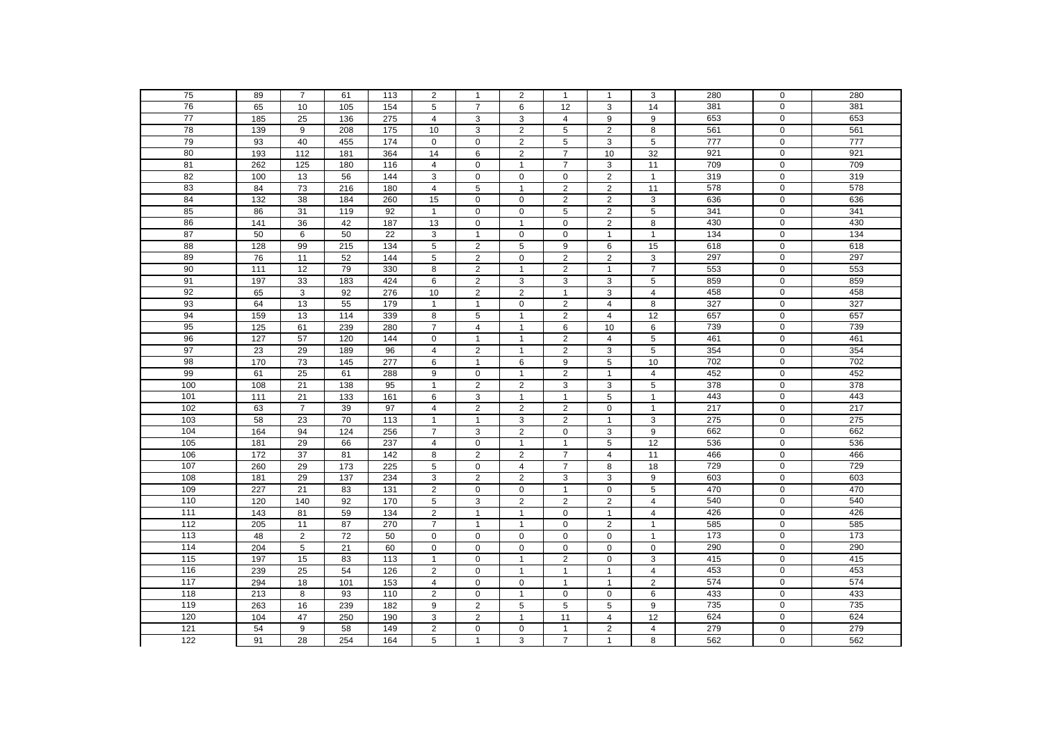| 75                | 89              | $\overline{7}$  | 61               | 113              | $\overline{2}$ | $\mathbf{1}$   | $\overline{2}$ | 1              | $\mathbf{1}$        | 3                       | 280 | 0              | 280 |
|-------------------|-----------------|-----------------|------------------|------------------|----------------|----------------|----------------|----------------|---------------------|-------------------------|-----|----------------|-----|
| 76                | 65              | 10              | 105              | 154              | 5              | $\overline{7}$ | 6              | 12             | 3                   | 14                      | 381 | $\mathbf 0$    | 381 |
| 77                | 185             | 25              | 136              | 275              | $\overline{4}$ | 3              | 3              | $\overline{4}$ | 9                   | 9                       | 653 | 0              | 653 |
| 78                | 139             | 9               | 208              | 175              | 10             | 3              | 2              | 5              | $\overline{2}$      | 8                       | 561 | $\overline{0}$ | 561 |
| 79                | 93              | 40              | 455              | 174              | $\mathbf 0$    | $\mathbf 0$    | 2              | 5              | 3                   | 5                       | 777 | $\mathbf 0$    | 777 |
| 80                | 193             | 112             | 181              | 364              | 14             | 6              | 2              | $\overline{7}$ | 10                  | 32                      | 921 | $\mathbf 0$    | 921 |
| 81                | 262             | 125             | 180              | 116              | 4              | $\mathbf 0$    | $\mathbf{1}$   | $\overline{7}$ | $\mathsf 3$         | 11                      | 709 | $\mathbf 0$    | 709 |
| 82                | 100             | 13              | 56               | 144              | 3              | $\mathbf 0$    | $\pmb{0}$      | 0              | $\sqrt{2}$          | $\mathbf{1}$            | 319 | $\mathbf 0$    | 319 |
| 83                | 84              | 73              | 216              | 180              | 4              | $\,$ 5 $\,$    | $\mathbf{1}$   | $\overline{c}$ | $\sqrt{2}$          | 11                      | 578 | $\mathbf 0$    | 578 |
| 84                | 132             | 38              | 184              | 260              | 15             | $\mathbf 0$    | $\mathbf 0$    | $\overline{2}$ | $\overline{2}$      | 3                       | 636 | $\mathbf 0$    | 636 |
| 85                | 86              | 31              | 119              | 92               | $\mathbf{1}$   | $\mathbf 0$    | $\pmb{0}$      | 5              | $\mathbf 2$         | 5                       | 341 | $\mathbf 0$    | 341 |
| 86                | 141             | 36              | 42               | 187              | 13             | $\mathbf 0$    | $\mathbf{1}$   | 0              | $\overline{2}$      | 8                       | 430 | $\mathbf 0$    | 430 |
| 87                | 50              | 6               | 50               | 22               | 3              | $\mathbf{1}$   | $\mathbf 0$    | $\mathbf 0$    | $\mathbf{1}$        | $\mathbf{1}$            | 134 | $\overline{0}$ | 134 |
| 88                | 128             | 99              | 215              | 134              | 5              | $\overline{2}$ | $\sqrt{5}$     | 9              | 6                   | 15                      | 618 | $\mathbf 0$    | 618 |
| 89                | 76              | 11              | 52               | 144              | 5              | $\overline{2}$ | $\mathbf 0$    | $\overline{2}$ | $\sqrt{2}$          | 3                       | 297 | $\mathbf 0$    | 297 |
| 90                | 111             | 12              | 79               | 330              | 8              | $\overline{2}$ | $\mathbf{1}$   | $\overline{2}$ | $\mathbf{1}$        | $\overline{7}$          | 553 | 0              | 553 |
| 91                | 197             | 33              | 183              | 424              | 6              | $\overline{2}$ | 3              | 3              | $\mathsf 3$         | 5                       | 859 | $\overline{0}$ | 859 |
| 92                | 65              | 3               | 92               | 276              | 10             | $\overline{2}$ | $\overline{2}$ | $\mathbf{1}$   | 3                   | $\overline{4}$          | 458 | $\mathbf 0$    | 458 |
| 93                | 64              | 13              | 55               | 179              | $\mathbf{1}$   | $\mathbf{1}$   | $\pmb{0}$      | $\overline{2}$ | 4                   | 8                       | 327 | $\mathbf 0$    | 327 |
| 94                | 159             | 13              | 114              | 339              | 8              | 5              | $\overline{1}$ | $\overline{2}$ | $\overline{4}$      | 12                      | 657 | $\mathbf 0$    | 657 |
| 95                | 125             | 61              | 239              | 280              | $\overline{7}$ | $\overline{4}$ | $\mathbf{1}$   | 6              | 10                  | 6                       | 739 | $\mathbf 0$    | 739 |
| 96                | 127             | 57              | 120              | 144              | $\mathbf 0$    | $\mathbf{1}$   | $\mathbf{1}$   | $\overline{2}$ | $\overline{4}$      | $\overline{5}$          | 461 | $\mathbf 0$    | 461 |
| 97                | $\overline{23}$ | 29              | 189              | 96               | $\overline{4}$ | $\overline{2}$ | $\mathbf{1}$   | $\overline{2}$ | 3                   | 5                       | 354 | $\mathbf 0$    | 354 |
| 98                | 170             | $\overline{73}$ | 145              | 277              | 6              | $\mathbf{1}$   | 6              | 9              | 5                   | 10                      | 702 | $\mathbf 0$    | 702 |
| 99                | 61              | $\overline{25}$ | 61               | 288              | 9              | $\mathbf 0$    | $\mathbf{1}$   | $\overline{a}$ | $\mathbf{1}$        | $\overline{4}$          | 452 | $\mathbf 0$    | 452 |
| 100               | 108             | 21              | 138              | 95               | $\mathbf{1}$   | $\overline{2}$ | $\overline{2}$ | $\overline{3}$ | 3                   | $\overline{5}$          | 378 | $\overline{0}$ | 378 |
| 101               | 111             | 21              | $\overline{133}$ | 161              | 6              | 3              | $\overline{1}$ | $\mathbf{1}$   | $\overline{5}$      | $\mathbf{1}$            | 443 | $\mathbf 0$    | 443 |
| 102               | 63              | $\overline{7}$  | 39               | 97               | $\overline{4}$ | $\overline{2}$ | $\overline{2}$ | $\overline{2}$ | $\pmb{0}$           | $\mathbf{1}$            | 217 | $\mathbf 0$    | 217 |
| 103               | 58              | 23              | 70               | 113              | $\mathbf{1}$   | $\mathbf{1}$   | 3              | $\overline{2}$ | $\mathbf{1}$        | 3                       | 275 | $\mathbf 0$    | 275 |
| 104               | 164             | 94              | 124              | 256              | $\overline{7}$ | 3              | $\overline{c}$ | 0              | 3                   | 9                       | 662 | $\mathbf 0$    | 662 |
| 105               | 181             | 29              | 66               | 237              | $\overline{4}$ | $\mathbf 0$    | $\mathbf{1}$   | $\mathbf{1}$   | $\overline{5}$      | 12                      | 536 | $\mathbf 0$    | 536 |
| 106               | 172             | 37              | 81               | 142              | 8              | $\overline{2}$ | 2              | $\overline{7}$ | $\overline{4}$      | 11                      | 466 | $\mathbf 0$    | 466 |
| 107               | 260             | 29              | 173              | 225              | 5              | $\mathbf 0$    | $\overline{4}$ | $\overline{7}$ | 8                   | 18                      | 729 | $\overline{0}$ | 729 |
| 108               | 181             | 29              | 137              | 234              | 3              | $\overline{2}$ | $\overline{2}$ | 3              | 3                   | 9                       | 603 | $\mathbf 0$    | 603 |
| 109               | 227             | 21              | 83               | $\overline{131}$ | $\overline{2}$ | $\mathbf 0$    | $\mathbf 0$    | $\mathbf{1}$   | $\mathsf{O}\xspace$ | 5                       | 470 | $\overline{0}$ | 470 |
| 110               | 120             | 140             | 92               | 170              | 5              | 3              | 2              | $\overline{a}$ | $\overline{c}$      | 4                       | 540 | $\mathbf 0$    | 540 |
| 111               | 143             | 81              | 59               | 134              | $\overline{2}$ | $\mathbf{1}$   | $\overline{1}$ | $\mathsf 0$    | $\mathbf{1}$        | $\overline{4}$          | 426 | $\overline{0}$ | 426 |
| $\frac{112}{2}$   | 205             | 11              | 87               | 270              | $\overline{7}$ | $\mathbf{1}$   | $\mathbf{1}$   | 0              | $\overline{2}$      | $\mathbf{1}$            | 585 | $\mathbf 0$    | 585 |
| 113               | 48              | $\overline{2}$  | $\overline{72}$  | 50               | $\mathbf 0$    | $\mathbf 0$    | $\pmb{0}$      | 0              | $\mathbf 0$         | $\overline{1}$          | 173 | $\mathbf 0$    | 173 |
| 114               | 204             | 5               | $\overline{21}$  | 60               | $\mathbf 0$    | $\pmb{0}$      | $\pmb{0}$      | 0              | $\pmb{0}$           | $\mathbf 0$             | 290 | $\mathbf 0$    | 290 |
| 115               | 197             | 15              | 83               | 113              | $\mathbf{1}$   | $\mathbf 0$    | $\overline{1}$ | $\overline{2}$ | $\pmb{0}$           | 3                       | 415 | $\mathbf 0$    | 415 |
| 116               | 239             | 25              | 54               | 126              | $\overline{2}$ | $\mathbf 0$    | $\overline{1}$ | $\mathbf{1}$   | $\mathbf{1}$        | $\overline{\mathbf{4}}$ | 453 | $\overline{0}$ | 453 |
| $\frac{117}{117}$ | 294             | 18              | 101              | 153              | $\overline{4}$ | $\mathbf 0$    | $\mathbf 0$    | $\mathbf{1}$   | $\mathbf{1}$        | $\overline{2}$          | 574 | $\mathbf 0$    | 574 |
| 118               | 213             | 8               | 93               | 110              | $\overline{2}$ | $\mathbf 0$    | $\mathbf{1}$   | 0              | $\mathbf 0$         | 6                       | 433 | $\mathbf 0$    | 433 |
| 119               | 263             | 16              | 239              | 182              | 9              | $\overline{2}$ | $\sqrt{5}$     | 5              | $\mathbf 5$         | 9                       | 735 | $\mathbf 0$    | 735 |
| 120               | 104             | 47              | 250              | 190              | 3              | $\overline{2}$ | $\overline{1}$ | 11             | $\overline{4}$      | 12                      | 624 | $\overline{0}$ | 624 |
| $\overline{121}$  | 54              | 9               | 58               | 149              | $\overline{2}$ | $\mathbf 0$    | $\pmb{0}$      | $\mathbf{1}$   | $\sqrt{2}$          | $\overline{4}$          | 279 | $\mathbf 0$    | 279 |
| 122               | 91              | $\overline{28}$ | 254              | 164              | 5              | $\mathbf{1}$   | 3              | $\overline{7}$ | $\mathbf{1}$        | 8                       | 562 | $\overline{0}$ | 562 |
|                   |                 |                 |                  |                  |                |                |                |                |                     |                         |     |                |     |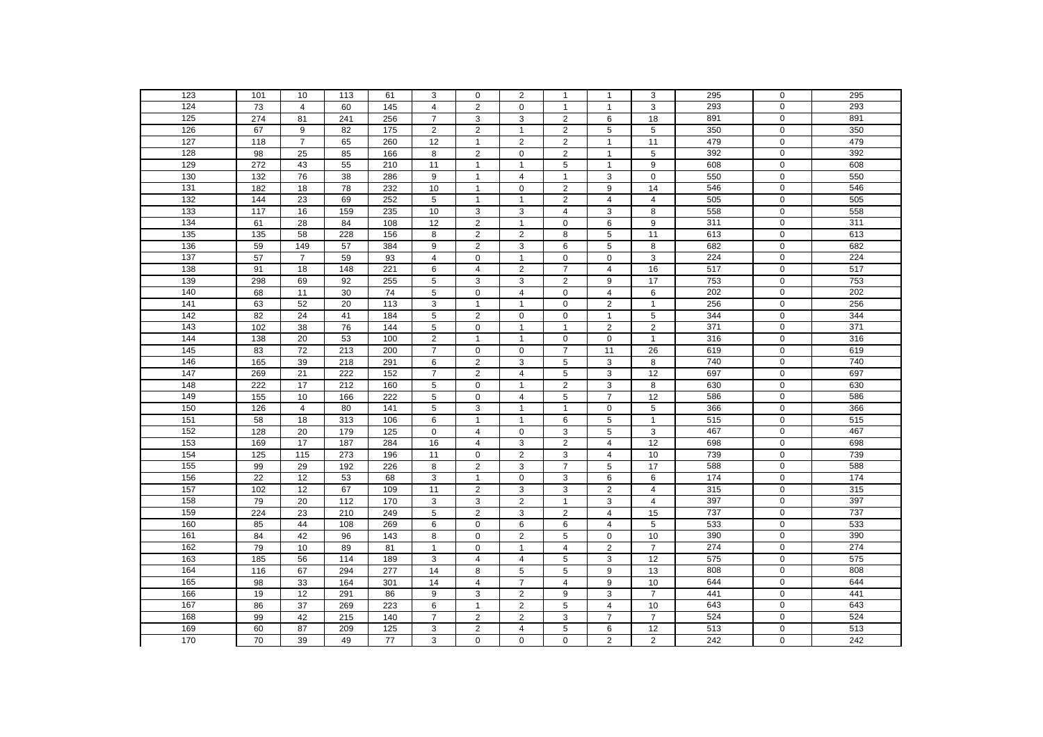| 123              | 101               | 10              | 113 | 61               | 3              | 0              | $\overline{2}$          | -1             | 1              | 3                | 295 | 0                | 295 |
|------------------|-------------------|-----------------|-----|------------------|----------------|----------------|-------------------------|----------------|----------------|------------------|-----|------------------|-----|
| 124              | 73                | $\overline{4}$  | 60  | 145              | $\overline{4}$ | $\overline{2}$ | $\mathbf 0$             | $\mathbf{1}$   | $\mathbf{1}$   | $\overline{3}$   | 293 | $\mathbf 0$      | 293 |
| 125              | 274               | 81              | 241 | 256              | $\overline{7}$ | 3              | 3                       | $\overline{2}$ | 6              | 18               | 891 | 0                | 891 |
| 126              | 67                | 9               | 82  | 175              | 2              | $\overline{2}$ | $\mathbf{1}$            | $\overline{2}$ | $\,$ 5 $\,$    | 5                | 350 | $\overline{0}$   | 350 |
| 127              | 118               | $\overline{7}$  | 65  | 260              | 12             | $\mathbf{1}$   | $\overline{2}$          | $\overline{2}$ | $\mathbf{1}$   | 11               | 479 | $\overline{0}$   | 479 |
| 128              | 98                | 25              | 85  | 166              | 8              | $\overline{2}$ | $\pmb{0}$               | $\overline{2}$ | $\mathbf{1}$   | 5                | 392 | $\overline{0}$   | 392 |
| 129              | 272               | 43              | 55  | 210              | 11             | $\mathbf{1}$   | $\mathbf{1}$            | 5              | $\mathbf{1}$   | 9                | 608 | $\mathbf 0$      | 608 |
| 130              | 132               | 76              | 38  | 286              | 9              | $\mathbf{1}$   | $\overline{\mathbf{4}}$ | $\mathbf{1}$   | $\mathbf{3}$   | $\pmb{0}$        | 550 | $\mathbf 0$      | 550 |
| $\overline{131}$ | 182               | 18              | 78  | 232              | 10             | $\mathbf{1}$   | $\mathbf 0$             | $\mathbf 2$    | 9              | 14               | 546 | $\boldsymbol{0}$ | 546 |
| 132              | 144               | 23              | 69  | 252              | 5              | $\mathbf{1}$   | $\overline{1}$          | $\overline{c}$ | $\overline{4}$ | $\overline{4}$   | 505 | $\mathbf 0$      | 505 |
| $\overline{133}$ | 117               | 16              | 159 | 235              | 10             | 3              | 3                       | 4              | $\mathbf{3}$   | 8                | 558 | $\mathbf 0$      | 558 |
| 134              | 61                | 28              | 84  | 108              | 12             | $\overline{2}$ | $\mathbf{1}$            | $\mathsf 0$    | 6              | $\boldsymbol{9}$ | 311 | $\mathbf 0$      | 311 |
| 135              | 135               | 58              | 228 | 156              | 8              | 2              | $\overline{2}$          | 8              | 5              | 11               | 613 | $\overline{0}$   | 613 |
| 136              | 59                | 149             | 57  | 384              | 9              | $\overline{2}$ | 3                       | 6              | $\,$ 5 $\,$    | 8                | 682 | $\mathbf 0$      | 682 |
| $\overline{137}$ | 57                | $\overline{7}$  | 59  | 93               | $\overline{4}$ | $\mathbf 0$    | $\overline{1}$          | $\pmb{0}$      | $\mathbf 0$    | 3                | 224 | $\mathbf 0$      | 224 |
| 138              | 91                | 18              | 148 | 221              | 6              | 4              | $\overline{2}$          | $\overline{7}$ | 4              | 16               | 517 | $\mathbf 0$      | 517 |
| 139              | 298               | 69              | 92  | 255              | 5              | 3              | 3                       | $\overline{2}$ | 9              | 17               | 753 | $\overline{0}$   | 753 |
| 140              | 68                | 11              | 30  | 74               | 5              | $\mathbf 0$    | 4                       | 0              | 4              | 6                | 202 | $\mathbf 0$      | 202 |
| 141              | 63                | 52              | 20  | 113              | 3              | $\mathbf{1}$   | $\overline{1}$          | 0              | $\overline{2}$ | $\overline{1}$   | 256 | $\mathbf 0$      | 256 |
| 142              | 82                | 24              | 41  | 184              | 5              | $\overline{2}$ | $\mathbf 0$             | 0              | $\mathbf{1}$   | 5                | 344 | $\mathbf 0$      | 344 |
| 143              | 102               | 38              | 76  | 144              | 5              | 0              | $\mathbf{1}$            | $\mathbf{1}$   | $\overline{2}$ | $\mathbf 2$      | 371 | $\mathbf 0$      | 371 |
| 144              | 138               | $\overline{20}$ | 53  | 100              | $\overline{2}$ | $\mathbf{1}$   | $\mathbf{1}$            | $\mathsf 0$    | $\mathbf 0$    | $\mathbf{1}$     | 316 | $\overline{0}$   | 316 |
| $\frac{145}{2}$  | 83                | 72              | 213 | 200              | $\overline{7}$ | $\mathbf 0$    | $\mathbf 0$             | $\overline{7}$ | 11             | 26               | 619 | $\boldsymbol{0}$ | 619 |
| 146              | 165               | 39              | 218 | 291              | 6              | $\overline{2}$ | 3                       | 5              | $\mathbf{3}$   | 8                | 740 | $\mathbf 0$      | 740 |
| $\frac{147}{2}$  | 269               | 21              | 222 | 152              | $\overline{7}$ | $\overline{2}$ | $\overline{4}$          | 5              | 3              | 12               | 697 | $\mathbf 0$      | 697 |
| 148              | 222               | 17              | 212 | 160              | $\overline{5}$ | $\mathbf 0$    | $\mathbf{1}$            | $\overline{2}$ | 3              | $\overline{8}$   | 630 | $\overline{0}$   | 630 |
| 149              | 155               | 10              | 166 | 222              | $\overline{5}$ | $\mathbf 0$    | $\overline{4}$          | $\overline{5}$ | $\overline{7}$ | 12               | 586 | $\mathbf 0$      | 586 |
| 150              | 126               | $\overline{4}$  | 80  | 141              | 5              | 3              | $\overline{1}$          | $\mathbf{1}$   | $\mathbf 0$    | 5                | 366 | $\mathbf 0$      | 366 |
| 151              | 58                | 18              | 313 | 106              | 6              | $\overline{1}$ | $\overline{1}$          | 6              | 5              | $\mathbf{1}$     | 515 | $\pmb{0}$        | 515 |
| 152              | 128               | 20              | 179 | $\overline{125}$ | 0              | 4              | $\mathbf 0$             | 3              | $\,$ 5 $\,$    | 3                | 467 | $\mathbf 0$      | 467 |
| 153              | 169               | 17              | 187 | 284              | 16             | $\overline{4}$ | 3                       | $\overline{2}$ | $\overline{4}$ | 12               | 698 | $\overline{0}$   | 698 |
| 154              | 125               | $\frac{115}{2}$ | 273 | 196              | 11             | $\mathbf 0$    | $\overline{2}$          | 3              | $\overline{4}$ | 10               | 739 | $\overline{0}$   | 739 |
| 155              | 99                | 29              | 192 | 226              | 8              | $\overline{2}$ | 3                       | $\overline{7}$ | 5              | 17               | 588 | $\overline{0}$   | 588 |
| 156              | 22                | 12              | 53  | 68               | 3              | $\mathbf{1}$   | $\mathsf 0$             | 3              | 6              | 6                | 174 | $\overline{0}$   | 174 |
| 157              | $\frac{102}{2}$   | 12              | 67  | 109              | 11             | $\overline{2}$ | 3                       | 3              | $\overline{2}$ | $\overline{4}$   | 315 | $\overline{0}$   | 315 |
| 158              | 79                | 20              | 112 | 170              | 3              | 3              | $\overline{\mathbf{c}}$ | $\mathbf{1}$   | 3              | 4                | 397 | $\mathbf 0$      | 397 |
| 159              | 224               | 23              | 210 | 249              | 5              | 2              | 3                       | $\overline{2}$ | $\overline{4}$ | 15               | 737 | $\overline{0}$   | 737 |
| 160              | 85                | 44              | 108 | 269              | 6              | $\mathbf 0$    | 6                       | 6              | 4              | $\sqrt{5}$       | 533 | $\mathbf 0$      | 533 |
| 161              | 84                | 42              | 96  | 143              | 8              | $\mathbf 0$    | $\overline{2}$          | 5              | $\mathbf 0$    | 10               | 390 | $\mathbf 0$      | 390 |
| 162              | 79                | 10              | 89  | 81               | $\mathbf{1}$   | $\mathbf 0$    | $\overline{1}$          | $\overline{4}$ | $\overline{2}$ | $\overline{7}$   | 274 | $\pmb{0}$        | 274 |
| 163              | 185               | 56              | 114 | 189              | 3              | $\overline{4}$ | $\overline{4}$          | 5              | 3              | 12               | 575 | $\mathbf 0$      | 575 |
| 164              | $\frac{116}{116}$ | 67              | 294 | 277              | 14             | 8              | 5                       | 5              | 9              | 13               | 808 | $\overline{0}$   | 808 |
| $\overline{165}$ | 98                | 33              | 164 | 301              | 14             | $\overline{4}$ | $\overline{7}$          | $\overline{4}$ | 9              | 10               | 644 | $\mathbf 0$      | 644 |
| 166              | 19                | 12              | 291 | 86               | 9              | 3              | $\overline{2}$          | 9              | $\mathbf{3}$   | $\overline{7}$   | 441 | $\mathbf 0$      | 441 |
| 167              | 86                | 37              | 269 | 223              | 6              | $\mathbf{1}$   | $\overline{2}$          | 5              | 4              | 10               | 643 | $\mathbf 0$      | 643 |
| 168              | 99                | 42              | 215 | 140              | $\overline{7}$ | $\overline{2}$ | $\overline{2}$          | 3              | $\overline{7}$ | $\overline{7}$   | 524 | $\overline{0}$   | 524 |
| 169              | 60                | 87              | 209 | 125              | 3              | $\overline{2}$ | $\overline{\mathbf{4}}$ | 5              | 6              | 12               | 513 | $\pmb{0}$        | 513 |
| 170              | 70                | 39              | 49  | 77               | 3              | $\Omega$       | $\mathbf 0$             | 0              | $\overline{2}$ | $\overline{2}$   | 242 | $\overline{0}$   | 242 |
|                  |                   |                 |     |                  |                |                |                         |                |                |                  |     |                  |     |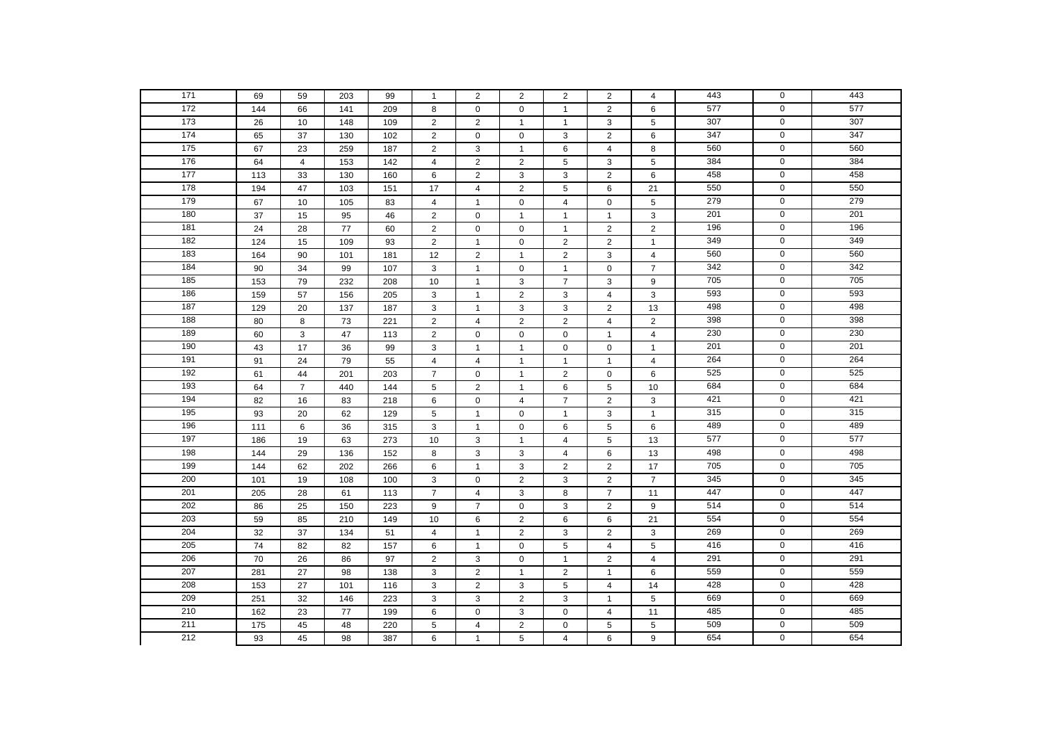| $\frac{1}{171}$  | 69              | 59             | 203  | 99  | $\mathbf{1}$   | $\overline{2}$ | $\overline{2}$ | $\overline{2}$          | 2              | $\overline{4}$          | 443 | $\mathbf 0$    | 443 |
|------------------|-----------------|----------------|------|-----|----------------|----------------|----------------|-------------------------|----------------|-------------------------|-----|----------------|-----|
| 172              | 144             | 66             | 141  | 209 | 8              | $\mathbf 0$    | $\pmb{0}$      | $\mathbf{1}$            | $\overline{2}$ | 6                       | 577 | $\mathbf 0$    | 577 |
| 173              | 26              | 10             | 148  | 109 | 2              | 2              | $\mathbf{1}$   | $\mathbf{1}$            | 3              | 5                       | 307 | $\mathbf 0$    | 307 |
| 174              | 65              | 37             | 130  | 102 | 2              | $\mathbf 0$    | $\pmb{0}$      | 3                       | $\sqrt{2}$     | 6                       | 347 | $\mathbf 0$    | 347 |
| $\frac{175}{2}$  | 67              | 23             | 259  | 187 | 2              | 3              | $\mathbf{1}$   | 6                       | $\overline{4}$ | 8                       | 560 | $\mathbf 0$    | 560 |
| 176              | 64              | $\overline{4}$ | 153  | 142 | $\overline{4}$ | $\overline{2}$ | 2              | 5                       | 3              | 5                       | 384 | $\mathbf 0$    | 384 |
| 177              | 113             | 33             | 130  | 160 | 6              | $\overline{2}$ | 3              | 3                       | 2              | 6                       | 458 | $\overline{0}$ | 458 |
| 178              | 194             | 47             | 103  | 151 | 17             | $\overline{4}$ | $\overline{2}$ | 5                       | 6              | 21                      | 550 | $\mathbf 0$    | 550 |
| 179              | 67              | 10             | 105  | 83  | $\overline{4}$ | $\mathbf{1}$   | $\pmb{0}$      | 4                       | $\pmb{0}$      | 5                       | 279 | $\mathbf 0$    | 279 |
| 180              | 37              | 15             | 95   | 46  | $\overline{2}$ | $\mathbf 0$    | $\overline{1}$ | $\mathbf{1}$            | $\mathbf{1}$   | 3                       | 201 | $\mathbf 0$    | 201 |
| 181              | $\overline{24}$ | 28             | $77$ | 60  | $\overline{2}$ | $\pmb{0}$      | $\pmb{0}$      | $\mathbf{1}$            | $\mathbf 2$    | $\overline{2}$          | 196 | $\overline{0}$ | 196 |
| 182              | 124             | 15             | 109  | 93  | $\overline{2}$ | $\overline{1}$ | $\mathbf 0$    | $\overline{c}$          | $\overline{2}$ | $\overline{1}$          | 349 | $\mathbf 0$    | 349 |
| 183              | 164             | 90             | 101  | 181 | 12             | $\overline{2}$ | $\mathbf{1}$   | $\overline{\mathbf{c}}$ | $\mathsf 3$    | $\overline{4}$          | 560 | $\mathbf 0$    | 560 |
| 184              | 90              | 34             | 99   | 107 | 3              | $\mathbf{1}$   | $\mathbf 0$    | $\mathbf{1}$            | $\mathbf 0$    | $\overline{7}$          | 342 | $\mathbf 0$    | 342 |
| $\frac{1}{185}$  | 153             | 79             | 232  | 208 | 10             | $\mathbf{1}$   | 3              | $\overline{7}$          | 3              | 9                       | 705 | $\mathbf 0$    | 705 |
| 186              | 159             | 57             | 156  | 205 | 3              | $\mathbf{1}$   | $\overline{2}$ | 3                       | $\overline{4}$ | 3                       | 593 | 0              | 593 |
| 187              | 129             | 20             | 137  | 187 | 3              | $\overline{1}$ | 3              | 3                       | $\overline{2}$ | 13                      | 498 | $\mathbf 0$    | 498 |
| 188              | 80              | 8              | 73   | 221 | 2              | $\overline{4}$ | 2              | $\overline{2}$          | $\overline{4}$ | $\overline{2}$          | 398 | $\mathbf 0$    | 398 |
| 189              | 60              | 3              | 47   | 113 | 2              | $\mathbf 0$    | $\pmb{0}$      | $\mathbf 0$             | $\mathbf{1}$   | $\overline{4}$          | 230 | $\mathsf 0$    | 230 |
| 190              | 43              | 17             | 36   | 99  | 3              | $\mathbf{1}$   | $\overline{1}$ | 0                       | $\mathbf 0$    | $\mathbf{1}$            | 201 | $\mathsf 0$    | 201 |
| 191              | 91              | 24             | 79   | 55  | $\overline{4}$ | $\overline{4}$ | $\overline{1}$ | $\mathbf{1}$            | $\mathbf{1}$   | $\overline{4}$          | 264 | 0              | 264 |
| 192              | 61              | $44\,$         | 201  | 203 | $\overline{7}$ | $\mathbf 0$    | $\mathbf{1}$   | $\overline{c}$          | $\pmb{0}$      | 6                       | 525 | $\mathbf 0$    | 525 |
| 193              | 64              | $\overline{7}$ | 440  | 144 | 5              | $\overline{2}$ | $\mathbf{1}$   | 6                       | $\mathbf 5$    | 10                      | 684 | $\mathbf 0$    | 684 |
| 194              | 82              | 16             | 83   | 218 | 6              | $\mathbf 0$    | 4              | $\overline{7}$          | $\sqrt{2}$     | 3                       | 421 | $\mathbf 0$    | 421 |
| 195              | 93              | 20             | 62   | 129 | 5              | $\mathbf{1}$   | $\pmb{0}$      | $\mathbf{1}$            | 3              | $\mathbf{1}$            | 315 | $\mathbf 0$    | 315 |
| 196              | 111             | 6              | 36   | 315 | 3              | $\mathbf{1}$   | $\pmb{0}$      | 6                       | 5              | 6                       | 489 | 0              | 489 |
| 197              | 186             | 19             | 63   | 273 | 10             | 3              | $\mathbf{1}$   | $\overline{4}$          | $\sqrt{5}$     | 13                      | 577 | $\mathbf 0$    | 577 |
| 198              | 144             | 29             | 136  | 152 | 8              | 3              | 3              | $\overline{4}$          | 6              | 13                      | 498 | $\mathsf 0$    | 498 |
| 199              | 144             | 62             | 202  | 266 | 6              | $\mathbf{1}$   | 3              | $\overline{2}$          | $\overline{2}$ | 17                      | 705 | $\mathbf 0$    | 705 |
| 200              | 101             | 19             | 108  | 100 | 3              | $\mathbf 0$    | $\overline{2}$ | 3                       | $\overline{2}$ | $\overline{7}$          | 345 | $\overline{0}$ | 345 |
| 201              | 205             | 28             | 61   | 113 | $\overline{7}$ | $\overline{4}$ | 3              | 8                       | $\overline{7}$ | 11                      | 447 | $\mathbf 0$    | 447 |
| 202              | 86              | 25             | 150  | 223 | 9              | $\overline{7}$ | $\mathbf 0$    | 3                       | $\mathbf 2$    | 9                       | 514 | $\mathbf 0$    | 514 |
| $\overline{203}$ | 59              | 85             | 210  | 149 | 10             | 6              | $\overline{2}$ | 6                       | 6              | 21                      | 554 | $\mathbf 0$    | 554 |
| 204              | 32              | 37             | 134  | 51  | $\overline{4}$ | $\mathbf{1}$   | 2              | 3                       | $\overline{2}$ | 3                       | 269 | $\mathbf 0$    | 269 |
| 205              | 74              | 82             | 82   | 157 | 6              | $\mathbf{1}$   | $\pmb{0}$      | 5                       | $\overline{4}$ | 5                       | 416 | $\mathbf 0$    | 416 |
| 206              | 70              | 26             | 86   | 97  | $\overline{2}$ | 3              | $\mathbf 0$    | $\mathbf{1}$            | $\sqrt{2}$     | $\overline{\mathbf{4}}$ | 291 | $\mathbf 0$    | 291 |
| 207              | 281             | 27             | 98   | 138 | 3              | $\overline{2}$ | $\mathbf{1}$   | $\overline{2}$          | $\mathbf{1}$   | 6                       | 559 | $\mathsf 0$    | 559 |
| 208              | 153             | 27             | 101  | 116 | 3              | $\overline{2}$ | 3              | 5                       | $\overline{4}$ | 14                      | 428 | $\mathbf 0$    | 428 |
| 209              | 251             | 32             | 146  | 223 | 3              | 3              | $\overline{2}$ | 3                       | $\mathbf{1}$   | 5                       | 669 | 0              | 669 |
| 210              | 162             | 23             | 77   | 199 | 6              | $\mathbf 0$    | 3              | 0                       | 4              | 11                      | 485 | $\mathbf 0$    | 485 |
| 211              | 175             | 45             | 48   | 220 | 5              | $\overline{4}$ | 2              | $\mathbf 0$             | 5              | 5                       | 509 | $\mathbf 0$    | 509 |
| 212              | 93              | 45             | 98   | 387 | 6              | $\mathbf{1}$   | $\overline{5}$ | $\overline{4}$          | 6              | 9                       | 654 | $\overline{0}$ | 654 |
|                  |                 |                |      |     |                |                |                |                         |                |                         |     |                |     |